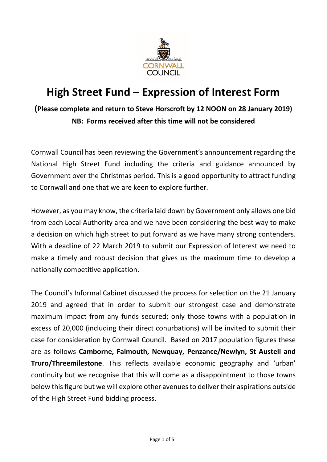

## **High Street Fund – Expression of Interest Form**

## **(Please complete and return to Steve Horscroft by 12 NOON on 28 January 2019) NB: Forms received after this time will not be considered**

Cornwall Council has been reviewing the Government's announcement regarding the National High Street Fund including the criteria and guidance announced by Government over the Christmas period. This is a good opportunity to attract funding to Cornwall and one that we are keen to explore further.

However, as you may know, the criteria laid down by Government only allows one bid from each Local Authority area and we have been considering the best way to make a decision on which high street to put forward as we have many strong contenders. With a deadline of 22 March 2019 to submit our Expression of Interest we need to make a timely and robust decision that gives us the maximum time to develop a nationally competitive application.

The Council's Informal Cabinet discussed the process for selection on the 21 January 2019 and agreed that in order to submit our strongest case and demonstrate maximum impact from any funds secured; only those towns with a population in excess of 20,000 (including their direct conurbations) will be invited to submit their case for consideration by Cornwall Council. Based on 2017 population figures these are as follows **Camborne, Falmouth, Newquay, Penzance/Newlyn, St Austell and Truro/Threemilestone**. This reflects available economic geography and 'urban' continuity but we recognise that this will come as a disappointment to those towns below this figure but we will explore other avenues to deliver their aspirations outside of the High Street Fund bidding process.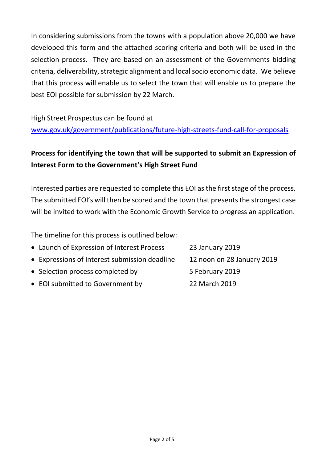In considering submissions from the towns with a population above 20,000 we have developed this form and the attached scoring criteria and both will be used in the selection process. They are based on an assessment of the Governments bidding criteria, deliverability, strategic alignment and local socio economic data. We believe that this process will enable us to select the town that will enable us to prepare the best EOI possible for submission by 22 March.

High Street Prospectus can be found at

[www.gov.uk/government/publications/future-high-streets-fund-call-for-proposals](http://www.gov.uk/government/publications/future-high-streets-fund-call-for-proposals)

## **Process for identifying the town that will be supported to submit an Expression of Interest Form to the Government's High Street Fund**

Interested parties are requested to complete this EOI as the first stage of the process. The submitted EOI's will then be scored and the town that presents the strongest case will be invited to work with the Economic Growth Service to progress an application.

The timeline for this process is outlined below:

- Launch of Expression of Interest Process 23 January 2019
- Expressions of Interest submission deadline 12 noon on 28 January 2019
- Selection process completed by 5 February 2019
- EOI submitted to Government by 22 March 2019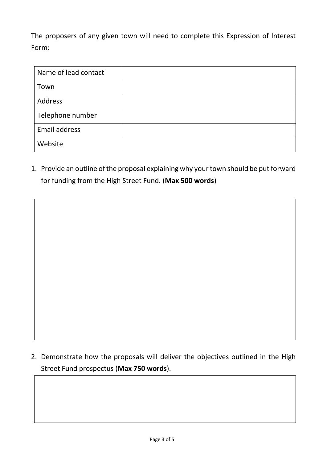The proposers of any given town will need to complete this Expression of Interest Form:

| Name of lead contact |  |
|----------------------|--|
| Town                 |  |
| Address              |  |
| Telephone number     |  |
| <b>Email address</b> |  |
| Website              |  |

1. Provide an outline of the proposal explaining why your town should be put forward for funding from the High Street Fund. (**Max 500 words**)

2. Demonstrate how the proposals will deliver the objectives outlined in the High Street Fund prospectus (**Max 750 words**).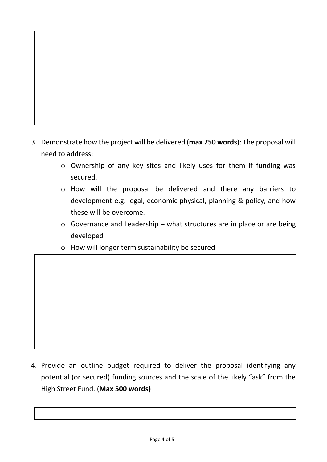- 3. Demonstrate how the project will be delivered (**max 750 words**): The proposal will need to address:
	- o Ownership of any key sites and likely uses for them if funding was secured.
	- o How will the proposal be delivered and there any barriers to development e.g. legal, economic physical, planning & policy, and how these will be overcome.
	- $\circ$  Governance and Leadership what structures are in place or are being developed
	- o How will longer term sustainability be secured

4. Provide an outline budget required to deliver the proposal identifying any potential (or secured) funding sources and the scale of the likely "ask" from the High Street Fund. (**Max 500 words)**